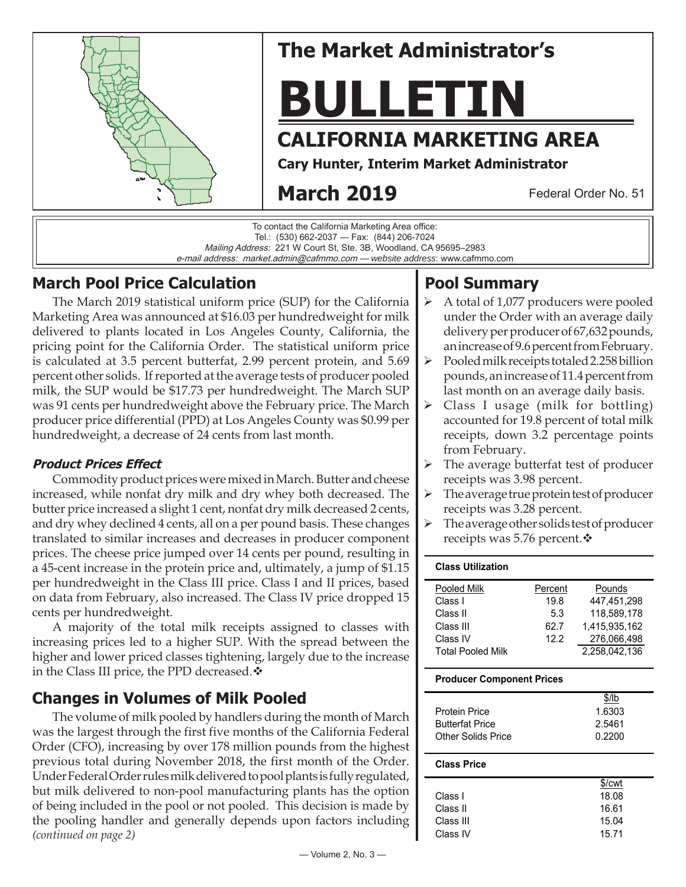

## **The Market Administrator's**

# **BULLETIN**

## **CALIFORNIA MARKETING AREA**

**Cary Hunter, Interim Market Administrator**

## **March 2019**

Federal Order No. 51

To contact the California Marketing Area office: Tel.: (530) 662-2037 — Fax: (844) 206-7024 Mailing Address: 221 W Court St, Ste. 3B, Woodland, CA 95695–2983 e-mail address: market.admin@cafmmo.com — *website address*: www.cafmmo.com

## **March Pool Price Calculation**

The March 2019 statistical uniform price (SUP) for the California Marketing Area was announced at \$16.03 per hundredweight for milk delivered to plants located in Los Angeles County, California, the pricing point for the California Order. The statistical uniform price is calculated at 3.5 percent butterfat, 2.99 percent protein, and 5.69 percent other solids. If reported at the average tests of producer pooled milk, the SUP would be \$17.73 per hundredweight. The March SUP was 91 cents per hundredweight above the February price. The March producer price differential (PPD) at Los Angeles County was \$0.99 per hundredweight, a decrease of 24 cents from last month.

#### **Product Prices Effect**

Commodity product prices were mixed in March. Butter and cheese increased, while nonfat dry milk and dry whey both decreased. The butter price increased a slight 1 cent, nonfat dry milk decreased 2 cents, and dry whey declined 4 cents, all on a per pound basis. These changes translated to similar increases and decreases in producer component prices. The cheese price jumped over 14 cents per pound, resulting in a 45-cent increase in the protein price and, ultimately, a jump of \$1.15 per hundredweight in the Class III price. Class I and II prices, based on data from February, also increased. The Class IV price dropped 15 cents per hundredweight.

A majority of the total milk receipts assigned to classes with increasing prices led to a higher SUP. With the spread between the higher and lower priced classes tightening, largely due to the increase in the Class III price, the PPD decreased.  $\cdot$ 

## **Changes in Volumes of Milk Pooled**

*(continued on page 2)* The volume of milk pooled by handlers during the month of March was the largest through the first five months of the California Federal Order (CFO), increasing by over 178 million pounds from the highest previous total during November 2018, the first month of the Order. Under Federal Order rules milk delivered to pool plants is fully regulated, but milk delivered to non-pool manufacturing plants has the option of being included in the pool or not pooled. This decision is made by the pooling handler and generally depends upon factors including

## **Pool Summary**

- A total of 1,077 producers were pooled under the Order with an average daily delivery per producer of 67,632 pounds, an increase of 9.6 percent from February.
- $\triangleright$  Pooled milk receipts totaled 2.258 billion pounds, an increase of 11.4 percent from last month on an average daily basis.
- $\triangleright$  Class I usage (milk for bottling) accounted for 19.8 percent of total milk receipts, down 3.2 percentage points from February.
- $\triangleright$  The average butterfat test of producer receipts was 3.98 percent.
- $\triangleright$  The average true protein test of producer receipts was 3.28 percent.
- The average other solids test of producer receipts was 5.76 percent. ❖

#### **Class Utilization**

| Percent | Pounds        |
|---------|---------------|
| 19.8    | 447.451.298   |
| 5.3     | 118.589.178   |
| 62.7    | 1.415.935.162 |
| 12.2    | 276.066.498   |
|         | 2.258.042.136 |
|         |               |

#### **Producer Component Prices**

|                        | \$/lb  |
|------------------------|--------|
| <b>Protein Price</b>   | 1.6303 |
| <b>Butterfat Price</b> | 2.5461 |
| Other Solids Price     | 0.2200 |

#### **Class Price**

|           | \$/cwt |
|-----------|--------|
| Class I   | 18.08  |
| Class II  | 16.61  |
| Class III | 15.04  |
| Class IV  | 15.71  |
|           |        |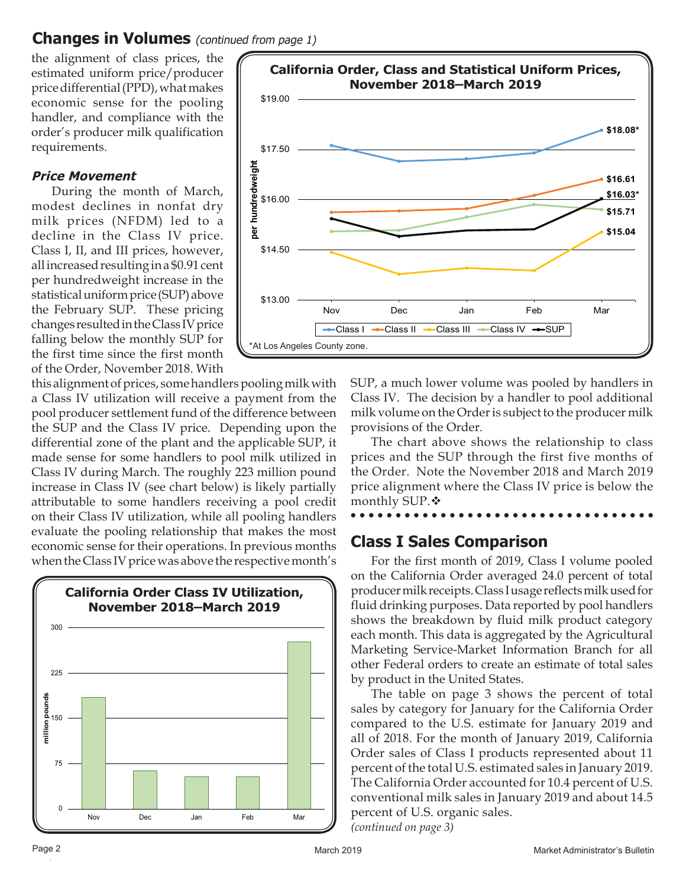## **Changes in Volumes** (continued from page 1)

the alignment of class prices, the estimated uniform price/producer price differential (PPD), what makes economic sense for the pooling handler, and compliance with the order's producer milk qualification requirements.

#### **Price Movement**

During the month of March, modest declines in nonfat dry milk prices (NFDM) led to a decline in the Class IV price. Class I, II, and III prices, however, all increased resulting in a \$0.91 cent per hundredweight increase in the statistical uniform price (SUP) above the February SUP. These pricing changes resulted in the Class IV price falling below the monthly SUP for the first time since the first month of the Order, November 2018. With



this alignment of prices, some handlers pooling milk with a Class IV utilization will receive a payment from the pool producer settlement fund of the difference between the SUP and the Class IV price. Depending upon the differential zone of the plant and the applicable SUP, it made sense for some handlers to pool milk utilized in Class IV during March. The roughly 223 million pound increase in Class IV (see chart below) is likely partially attributable to some handlers receiving a pool credit on their Class IV utilization, while all pooling handlers evaluate the pooling relationship that makes the most economic sense for their operations. In previous months when the Class IV price was above the respective month's



SUP, a much lower volume was pooled by handlers in Class IV. The decision by a handler to pool additional milk volume on the Order is subject to the producer milk provisions of the Order.

The chart above shows the relationship to class prices and the SUP through the first five months of the Order. Note the November 2018 and March 2019 price alignment where the Class IV price is below the monthly SUP. ❖

## **Class I Sales Comparison**

For the first month of 2019, Class I volume pooled on the California Order averaged 24.0 percent of total producer milk receipts. Class I usage reflects milk used for fluid drinking purposes. Data reported by pool handlers shows the breakdown by fluid milk product category each month. This data is aggregated by the Agricultural Marketing Service-Market Information Branch for all other Federal orders to create an estimate of total sales by product in the United States.

*(continued on page 3)* The table on page 3 shows the percent of total sales by category for January for the California Order compared to the U.S. estimate for January 2019 and all of 2018. For the month of January 2019, California Order sales of Class I products represented about 11 percent of the total U.S. estimated sales in January 2019. The California Order accounted for 10.4 percent of U.S. conventional milk sales in January 2019 and about 14.5 percent of U.S. organic sales.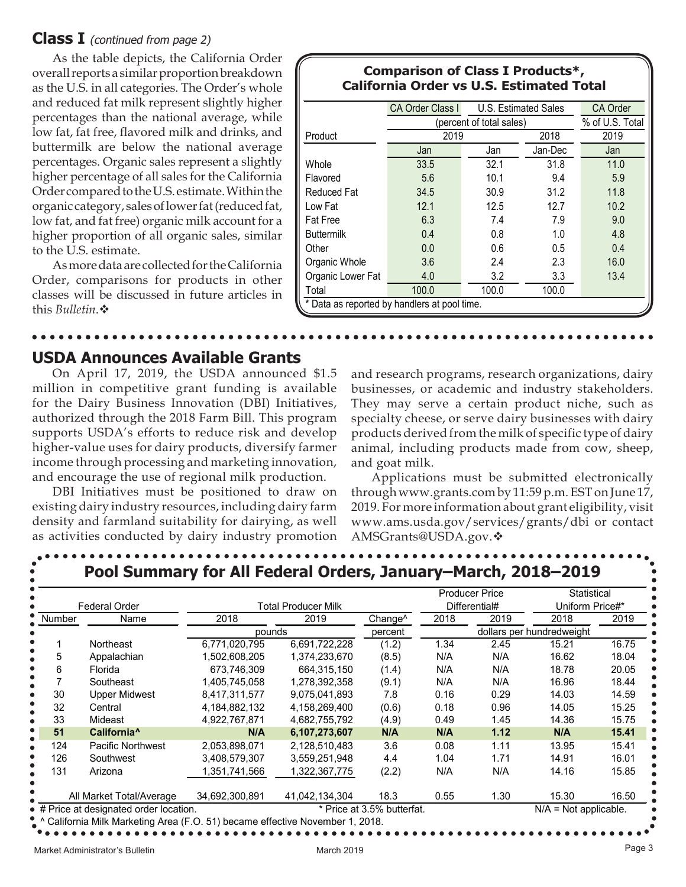#### **Class I** (continued from page 2)

As the table depicts, the California Order overall reports a similar proportion breakdown as the U.S. in all categories. The Order's whole and reduced fat milk represent slightly higher percentages than the national average, while low fat, fat free, flavored milk and drinks, and buttermilk are below the national average percentages. Organic sales represent a slightly higher percentage of all sales for the California Order compared to the U.S. estimate. Within the organic category, sales of lower fat (reduced fat, low fat, and fat free) organic milk account for a higher proportion of all organic sales, similar to the U.S. estimate.

As more data are collected for the California Order, comparisons for products in other classes will be discussed in future articles in this *Bulletin*.

#### **Comparison of Class I Products\*, California Order vs U.S. Estimated Total**

|                                              | CA Order Class I         | U.S. Estimated Sales | <b>CA Order</b> |      |  |  |
|----------------------------------------------|--------------------------|----------------------|-----------------|------|--|--|
|                                              | (percent of total sales) | % of U.S. Total      |                 |      |  |  |
| Product                                      | 2019<br>2018             |                      |                 | 2019 |  |  |
|                                              | Jan                      | Jan                  | Jan-Dec         | Jan  |  |  |
| Whole                                        | 33.5                     | 32.1                 | 31.8            | 11.0 |  |  |
| Flavored                                     | 5.6                      | 10.1                 | 9.4             | 5.9  |  |  |
| Reduced Fat                                  | 34.5                     | 30.9                 | 31.2            | 11.8 |  |  |
| Low Fat                                      | 12.1                     | 12.5                 | 12.7            | 10.2 |  |  |
| <b>Fat Free</b>                              | 6.3                      | 7.4                  | 7.9             | 9.0  |  |  |
| <b>Buttermilk</b>                            | 0.4                      | 0.8                  | 1.0             | 4.8  |  |  |
| Other                                        | 0.0                      | 0.6                  | 0.5             | 0.4  |  |  |
| Organic Whole                                | 3.6                      | 2.4                  | 2.3             | 16.0 |  |  |
| Organic Lower Fat                            | 4.0                      | 3.2                  | 3.3             | 13.4 |  |  |
| Total                                        | 100.0                    | 100.0                | 100.0           |      |  |  |
| * Data as reported by handlers at pool time. |                          |                      |                 |      |  |  |

#### **USDA Announces Available Grants**

On April 17, 2019, the USDA announced \$1.5 million in competitive grant funding is available for the Dairy Business Innovation (DBI) Initiatives, authorized through the 2018 Farm Bill. This program supports USDA's efforts to reduce risk and develop higher-value uses for dairy products, diversify farmer income through processing and marketing innovation, and encourage the use of regional milk production.

DBI Initiatives must be positioned to draw on existing dairy industry resources, including dairy farm density and farmland suitability for dairying, as well as activities conducted by dairy industry promotion

and research programs, research organizations, dairy businesses, or academic and industry stakeholders. They may serve a certain product niche, such as specialty cheese, or serve dairy businesses with dairy products derived from the milk of specific type of dairy animal, including products made from cow, sheep, and goat milk.

Applications must be submitted electronically through www.grants.com by 11:59 p.m. EST on June 17, 2019. For more information about grant eligibility, visit www.ams.usda.gov/services/grants/dbi or contact AMSGrants@USDA.gov.

|                      |                          |                     |                |                     |      | <b>Producer Price</b> | Statistical               |       |
|----------------------|--------------------------|---------------------|----------------|---------------------|------|-----------------------|---------------------------|-------|
| <b>Federal Order</b> |                          | Total Producer Milk |                | Differential#       |      | Uniform Price#*       |                           |       |
| Number               | Name                     | 2018                | 2019           | Change <sup>^</sup> | 2018 | 2019                  | 2018                      | 2019  |
|                      |                          | pounds              |                | percent             |      |                       | dollars per hundredweight |       |
|                      | Northeast                | 6,771,020,795       | 6,691,722,228  | (1.2)               | 1.34 | 2.45                  | 15.21                     | 16.75 |
| 5                    | Appalachian              | 1,502,608,205       | 1,374,233,670  | (8.5)               | N/A  | N/A                   | 16.62                     | 18.04 |
| 6                    | Florida                  | 673,746,309         | 664,315,150    | (1.4)               | N/A  | N/A                   | 18.78                     | 20.05 |
|                      | Southeast                | 1,405,745,058       | 1,278,392,358  | (9.1)               | N/A  | N/A                   | 16.96                     | 18.44 |
| 30                   | <b>Upper Midwest</b>     | 8,417,311,577       | 9,075,041,893  | 7.8                 | 0.16 | 0.29                  | 14.03                     | 14.59 |
| 32                   | Central                  | 4,184,882,132       | 4,158,269,400  | (0.6)               | 0.18 | 0.96                  | 14.05                     | 15.25 |
| 33                   | Mideast                  | 4,922,767,871       | 4,682,755,792  | (4.9)               | 0.49 | 1.45                  | 14.36                     | 15.75 |
| 51                   | California <sup>^</sup>  | N/A                 | 6,107,273,607  | N/A                 | N/A  | 1.12                  | N/A                       | 15.41 |
| 124                  | Pacific Northwest        | 2,053,898,071       | 2,128,510,483  | 3.6                 | 0.08 | 1.11                  | 13.95                     | 15.41 |
| 126                  | Southwest                | 3,408,579,307       | 3,559,251,948  | 4.4                 | 1.04 | 1.71                  | 14.91                     | 16.01 |
| 131                  | Arizona                  | 1,351,741,566       | 1,322,367,775  | (2.2)               | N/A  | N/A                   | 14.16                     | 15.85 |
|                      | All Market Total/Average | 34,692,300,891      | 41,042,134,304 | 18.3                | 0.55 | 1.30                  | 15.30                     | 16.50 |